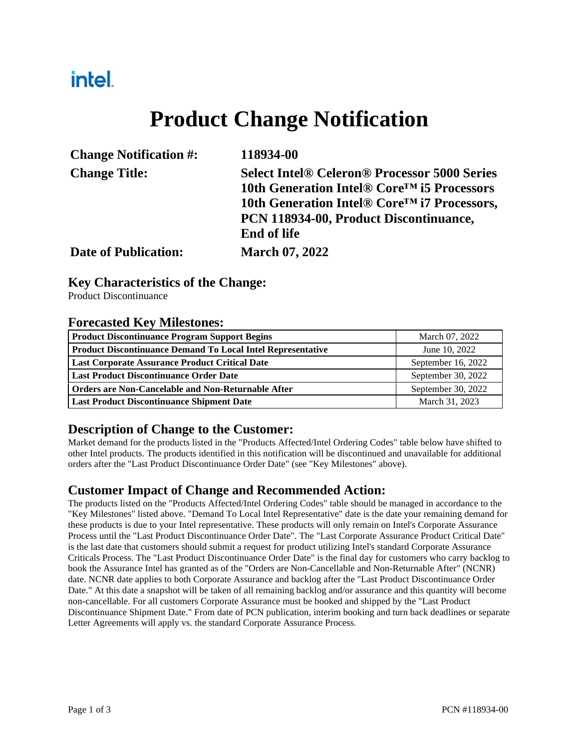## intel.

# **Product Change Notification**

| <b>Change Notification #:</b> | 118934-00                                               |
|-------------------------------|---------------------------------------------------------|
| <b>Change Title:</b>          | <b>Select Intel® Celeron® Processor 5000 Series</b>     |
|                               | 10th Generation Intel® Core <sup>™</sup> i5 Processors  |
|                               | 10th Generation Intel® Core <sup>™</sup> i7 Processors, |
|                               | PCN 118934-00, Product Discontinuance,                  |
|                               | <b>End of life</b>                                      |
| <b>Date of Publication:</b>   | <b>March 07, 2022</b>                                   |

#### **Key Characteristics of the Change:**

Product Discontinuance

#### **Forecasted Key Milestones:**

| <b>Product Discontinuance Program Support Begins</b>               | March 07, 2022     |  |
|--------------------------------------------------------------------|--------------------|--|
| <b>Product Discontinuance Demand To Local Intel Representative</b> | June 10, 2022      |  |
| <b>Last Corporate Assurance Product Critical Date</b>              | September 16, 2022 |  |
| <b>Last Product Discontinuance Order Date</b>                      | September 30, 2022 |  |
| <b>Orders are Non-Cancelable and Non-Returnable After</b>          | September 30, 2022 |  |
| <b>Last Product Discontinuance Shipment Date</b>                   | March 31, 2023     |  |

#### **Description of Change to the Customer:**

Market demand for the products listed in the "Products Affected/Intel Ordering Codes" table below have shifted to other Intel products. The products identified in this notification will be discontinued and unavailable for additional orders after the "Last Product Discontinuance Order Date" (see "Key Milestones" above).

#### **Customer Impact of Change and Recommended Action:**

The products listed on the "Products Affected/Intel Ordering Codes" table should be managed in accordance to the "Key Milestones" listed above. "Demand To Local Intel Representative" date is the date your remaining demand for these products is due to your Intel representative. These products will only remain on Intel's Corporate Assurance Process until the "Last Product Discontinuance Order Date". The "Last Corporate Assurance Product Critical Date" is the last date that customers should submit a request for product utilizing Intel's standard Corporate Assurance Criticals Process. The "Last Product Discontinuance Order Date" is the final day for customers who carry backlog to book the Assurance Intel has granted as of the "Orders are Non-Cancellable and Non-Returnable After" (NCNR) date. NCNR date applies to both Corporate Assurance and backlog after the "Last Product Discontinuance Order Date." At this date a snapshot will be taken of all remaining backlog and/or assurance and this quantity will become non-cancellable. For all customers Corporate Assurance must be booked and shipped by the "Last Product Discontinuance Shipment Date." From date of PCN publication, interim booking and turn back deadlines or separate Letter Agreements will apply vs. the standard Corporate Assurance Process.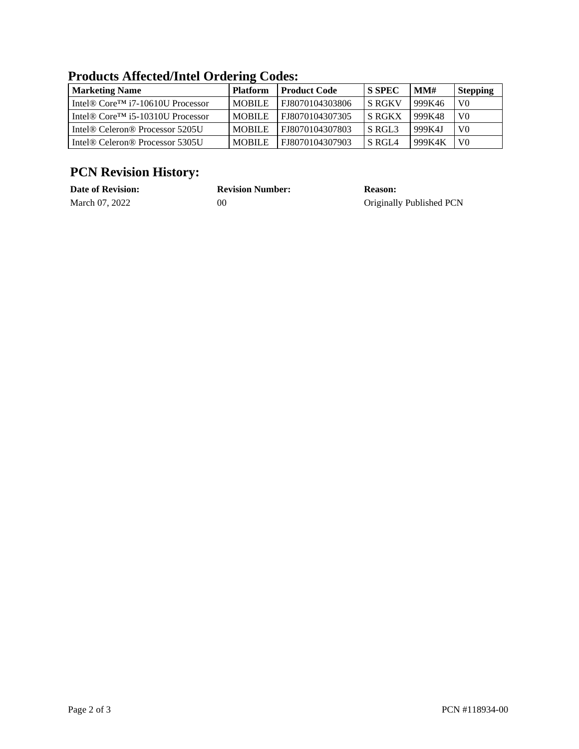| <b>Marketing Name</b>                                                  | <b>Platform</b> | <b>Product Code</b> | <b>S SPEC</b>      | MM#    | <b>Stepping</b> |  |
|------------------------------------------------------------------------|-----------------|---------------------|--------------------|--------|-----------------|--|
| Intel <sup>®</sup> Core <sup>TM</sup> i7-10610U Processor              | <b>MOBILE</b>   | FJ8070104303806     | <b>S RGKV</b>      | 999K46 | V <sub>0</sub>  |  |
| Intel <sup>®</sup> Core <sup><math>TM</math></sup> i5-10310U Processor | <b>MOBILE</b>   | FJ8070104307305     | <b>S RGKX</b>      | 999K48 | V <sub>0</sub>  |  |
| Intel <sup>®</sup> Celeron <sup>®</sup> Processor 5205U                | <b>MOBILE</b>   | FJ8070104307803     | S RGL <sub>3</sub> | 999K4J | V <sub>0</sub>  |  |
| Intel <sup>®</sup> Celeron <sup>®</sup> Processor 5305U                | <b>MOBILE</b>   | FJ8070104307903     | S RGL <sub>4</sub> | 999K4K | V0              |  |

#### **Products Affected/Intel Ordering Codes:**

### **PCN Revision History:**

| <b>Date of Revision:</b> | <b>Revision Number:</b> | <b>Reason:</b>           |
|--------------------------|-------------------------|--------------------------|
| March 07, 2022           | 00                      | Originally Published PCN |